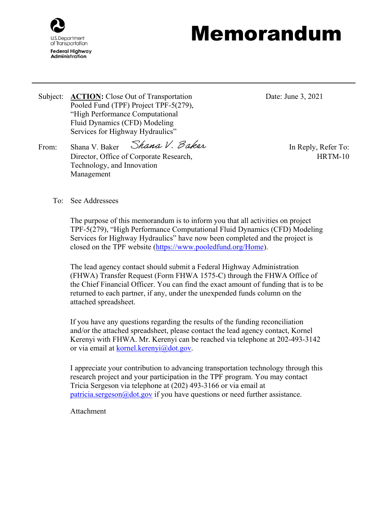

## Memorandum

Subject: **ACTION:** Close Out of Transportation Pooled Fund (TPF) Project TPF-5(279), "High Performance Computational Fluid Dynamics (CFD) Modeling Services for Highway Hydraulics"

From: Shana V. Baker Shana V. Baker  $\mathcal{L}$  Baker In Reply, Refer To: Director, Office of Corporate Research, Technology, and Innovation Management

Date: June 3, 2021

HRTM-10

To: See Addressees

The purpose of this memorandum is to inform you that all activities on project TPF-5(279), "High Performance Computational Fluid Dynamics (CFD) Modeling Services for Highway Hydraulics" have now been completed and the project is closed on the TPF website [\(https://www.pooledfund.org/Home\)](https://www.pooledfund.org/Home).

The lead agency contact should submit a Federal Highway Administration (FHWA) Transfer Request (Form FHWA 1575-C) through the FHWA Office of the Chief Financial Officer. You can find the exact amount of funding that is to be returned to each partner, if any, under the unexpended funds column on the attached spreadsheet.

If you have any questions regarding the results of the funding reconciliation and/or the attached spreadsheet, please contact the lead agency contact, Kornel Kerenyi with FHWA. Mr. Kerenyi can be reached via telephone at 202-493-3142 or via email at [kornel.kerenyi@dot.gov.](mailto:kornel.kerenyi@dot.gov)

I appreciate your contribution to advancing transportation technology through this research project and your participation in the TPF program. You may contact Tricia Sergeson via telephone at (202) 493-3166 or via email at [patricia.sergeson@dot.gov](mailto:patricia.sergeson@dot.gov) if you have questions or need further assistance.

Attachment